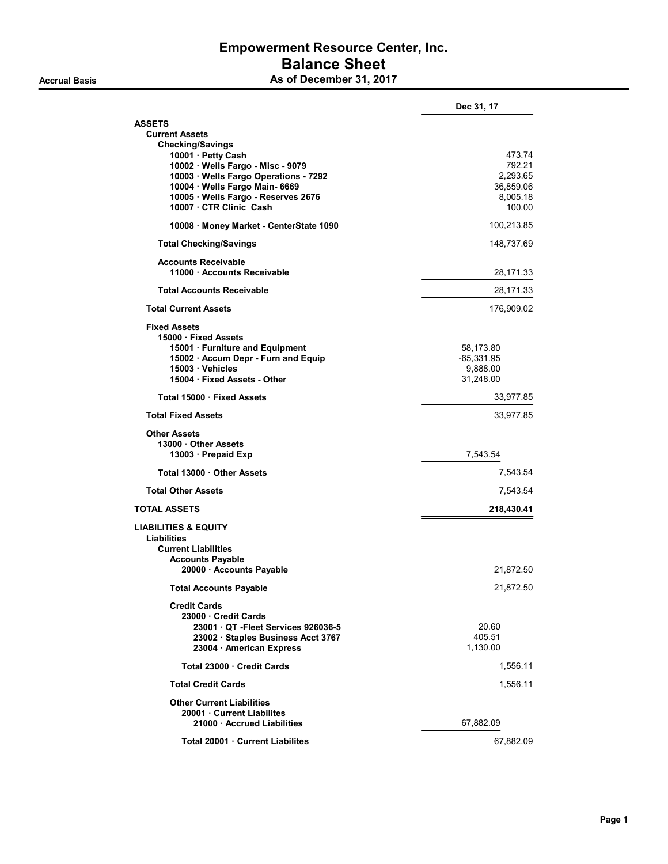# Empowerment Resource Center, Inc. Balance Sheet As of December 31, 2017

|                                                         | Dec 31, 17       |
|---------------------------------------------------------|------------------|
| <b>ASSETS</b>                                           |                  |
| <b>Current Assets</b>                                   |                  |
| <b>Checking/Savings</b><br>10001 · Petty Cash           |                  |
| 10002 · Wells Fargo - Misc - 9079                       | 473.74<br>792.21 |
| 10003 · Wells Fargo Operations - 7292                   |                  |
|                                                         | 2,293.65         |
| 10004 · Wells Fargo Main- 6669                          | 36,859.06        |
| 10005 · Wells Fargo - Reserves 2676                     | 8,005.18         |
| 10007 · CTR Clinic Cash                                 | 100.00           |
| 10008 · Money Market - CenterState 1090                 | 100,213.85       |
| <b>Total Checking/Savings</b>                           | 148,737.69       |
| <b>Accounts Receivable</b><br>11000 Accounts Receivable | 28,171.33        |
| <b>Total Accounts Receivable</b>                        | 28,171.33        |
| <b>Total Current Assets</b>                             | 176,909.02       |
| <b>Fixed Assets</b>                                     |                  |
| 15000 · Fixed Assets                                    |                  |
| 15001 · Furniture and Equipment                         | 58,173.80        |
| 15002 · Accum Depr - Furn and Equip                     | $-65,331.95$     |
| 15003 · Vehicles                                        | 9,888.00         |
| 15004 · Fixed Assets - Other                            | 31,248.00        |
| Total 15000 · Fixed Assets                              | 33,977.85        |
| <b>Total Fixed Assets</b>                               | 33,977.85        |
| <b>Other Assets</b>                                     |                  |
| 13000 Other Assets                                      |                  |
| 13003 Prepaid Exp                                       | 7,543.54         |
|                                                         |                  |
| Total 13000 Other Assets                                | 7,543.54         |
| <b>Total Other Assets</b>                               | 7,543.54         |
| <b>TOTAL ASSETS</b>                                     | 218,430.41       |
| <b>LIABILITIES &amp; EQUITY</b>                         |                  |
| <b>Liabilities</b>                                      |                  |
| <b>Current Liabilities</b>                              |                  |
| <b>Accounts Payable</b>                                 |                  |
| 20000 · Accounts Payable                                | 21,872.50        |
| <b>Total Accounts Payable</b>                           | 21,872.50        |
| <b>Credit Cards</b>                                     |                  |
| 23000 Credit Cards                                      |                  |
| 23001 QT - Fleet Services 926036-5                      | 20.60            |
| 23002 · Staples Business Acct 3767                      | 405.51           |
| 23004 · American Express                                | 1,130.00         |
| Total 23000 Credit Cards                                | 1,556.11         |
| <b>Total Credit Cards</b>                               | 1,556.11         |
| <b>Other Current Liabilities</b>                        |                  |
| 20001 Current Liabilites                                |                  |
| 21000 Accrued Liabilities                               | 67,882.09        |
|                                                         |                  |
| Total 20001 Current Liabilites                          | 67,882.09        |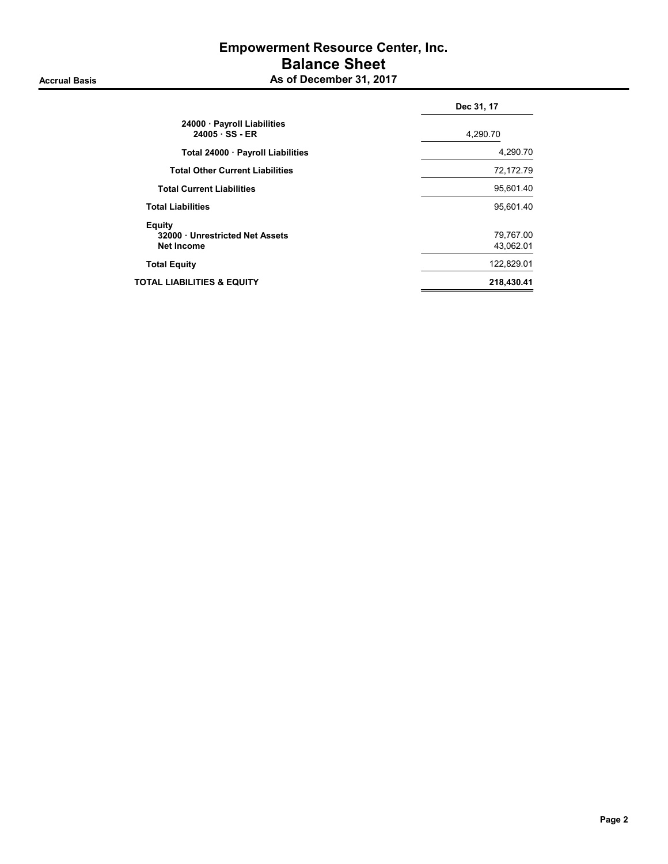## Empowerment Resource Center, Inc. Balance Sheet As of December 31, 2017

|                                                              | Dec 31, 17             |
|--------------------------------------------------------------|------------------------|
| 24000 · Payroll Liabilities<br>$24005 \cdot SS - ER$         | 4,290.70               |
| Total 24000 · Payroll Liabilities                            | 4,290.70               |
| <b>Total Other Current Liabilities</b>                       | 72,172.79              |
| <b>Total Current Liabilities</b>                             | 95,601.40              |
| <b>Total Liabilities</b>                                     | 95,601.40              |
| Equity<br>32000 Unrestricted Net Assets<br><b>Net Income</b> | 79,767.00<br>43,062.01 |
| <b>Total Equity</b>                                          | 122,829.01             |
| TOTAL LIABILITIES & EQUITY                                   | 218,430.41             |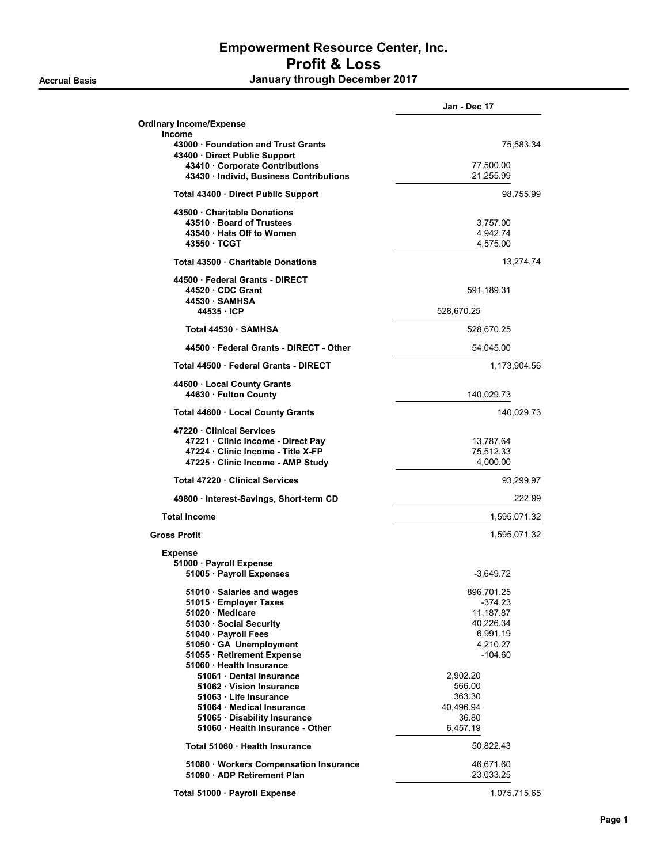## Empowerment Resource Center, Inc. Profit & Loss Accrual Basis **Accrual Basis January through December 2017**

|                                                                                                                                                                                                            | Jan - Dec 17                                                                         |
|------------------------------------------------------------------------------------------------------------------------------------------------------------------------------------------------------------|--------------------------------------------------------------------------------------|
| <b>Ordinary Income/Expense</b>                                                                                                                                                                             |                                                                                      |
| <b>Income</b><br>43000 Foundation and Trust Grants                                                                                                                                                         | 75,583.34                                                                            |
| 43400 Direct Public Support<br>43410 Corporate Contributions<br>43430 · Individ, Business Contributions                                                                                                    | 77,500.00<br>21,255.99                                                               |
| Total 43400 · Direct Public Support                                                                                                                                                                        | 98,755.99                                                                            |
| 43500 Charitable Donations<br>43510 Board of Trustees<br>43540 Hats Off to Women<br>43550 TCGT                                                                                                             | 3,757.00<br>4,942.74<br>4,575.00                                                     |
| Total 43500 Charitable Donations                                                                                                                                                                           | 13,274.74                                                                            |
| 44500 Federal Grants - DIRECT<br>44520 CDC Grant<br>44530 SAMHSA<br>44535 · ICP                                                                                                                            | 591,189.31<br>528,670.25                                                             |
| Total 44530 · SAMHSA                                                                                                                                                                                       | 528,670.25                                                                           |
| 44500 Federal Grants - DIRECT - Other                                                                                                                                                                      | 54,045.00                                                                            |
| Total 44500 · Federal Grants - DIRECT                                                                                                                                                                      | 1,173,904.56                                                                         |
| 44600 Local County Grants<br>44630 · Fulton County                                                                                                                                                         | 140,029.73                                                                           |
| Total 44600 · Local County Grants                                                                                                                                                                          | 140,029.73                                                                           |
| 47220 Clinical Services<br>47221 Clinic Income - Direct Pay<br>47224 Clinic Income - Title X-FP<br>47225 Clinic Income - AMP Study                                                                         | 13,787.64<br>75,512.33<br>4,000.00                                                   |
| Total 47220 Clinical Services                                                                                                                                                                              | 93,299.97                                                                            |
| 49800 · Interest-Savings, Short-term CD                                                                                                                                                                    | 222.99                                                                               |
| <b>Total Income</b>                                                                                                                                                                                        | 1,595,071.32                                                                         |
| <b>Gross Profit</b>                                                                                                                                                                                        | 1,595,071.32                                                                         |
| <b>Expense</b><br>51000 · Payroll Expense<br>51005 · Payroll Expenses                                                                                                                                      | -3,649.72                                                                            |
| 51010 · Salaries and wages<br>51015 Employer Taxes<br>51020 · Medicare<br>51030 Social Security<br>51040 · Payroll Fees<br>51050 GA Unemployment<br>51055 · Retirement Expense<br>51060 · Health Insurance | 896,701.25<br>-374.23<br>11,187.87<br>40,226.34<br>6,991.19<br>4,210.27<br>$-104.60$ |
| 51061 Dental Insurance<br>51062 Vision Insurance<br>51063 Life Insurance<br>51064 Medical Insurance<br>51065 · Disability Insurance<br>51060 · Health Insurance - Other                                    | 2,902.20<br>566.00<br>363.30<br>40,496.94<br>36.80<br>6,457.19                       |
| Total 51060 Health Insurance                                                                                                                                                                               | 50,822.43                                                                            |
| 51080 · Workers Compensation Insurance<br>51090 · ADP Retirement Plan                                                                                                                                      | 46,671.60<br>23,033.25                                                               |
| Total 51000 · Payroll Expense                                                                                                                                                                              | 1,075,715.65                                                                         |

Page 1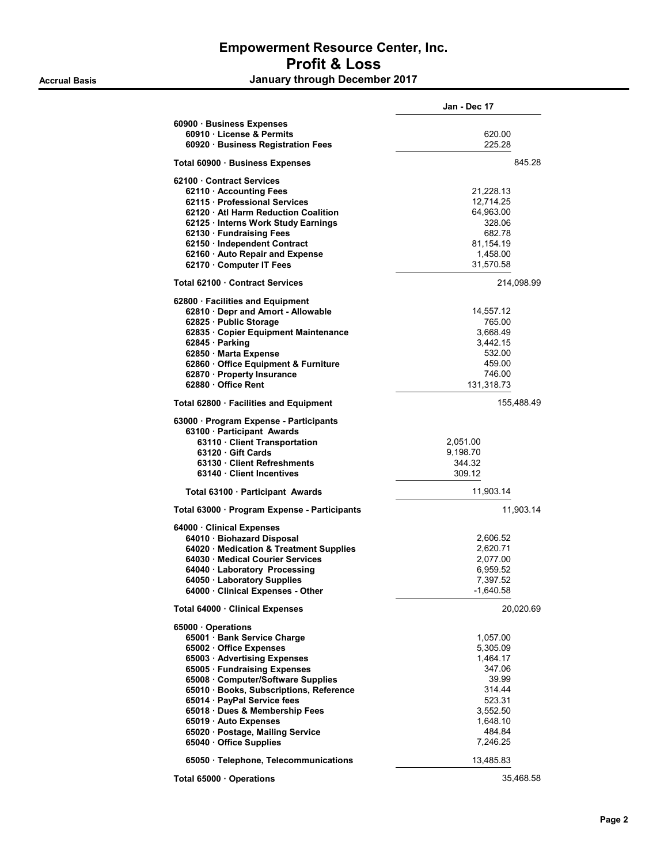# Empowerment Resource Center, Inc. Profit & Loss Accrual Basis **Accrual Basis January through December 2017**

|                                              | Jan - Dec 17 |  |
|----------------------------------------------|--------------|--|
| 60900 · Business Expenses                    |              |  |
| 60910 · License & Permits                    | 620.00       |  |
| 60920 · Business Registration Fees           | 225.28       |  |
| Total 60900 · Business Expenses              | 845.28       |  |
| 62100 Contract Services                      |              |  |
| 62110 Accounting Fees                        | 21,228.13    |  |
| 62115 Professional Services                  | 12,714.25    |  |
| 62120 Atl Harm Reduction Coalition           | 64,963.00    |  |
| 62125 · Interns Work Study Earnings          | 328.06       |  |
| 62130 · Fundraising Fees                     | 682.78       |  |
| 62150 · Independent Contract                 | 81,154.19    |  |
| 62160 · Auto Repair and Expense              | 1,458.00     |  |
| 62170 · Computer IT Fees                     | 31,570.58    |  |
| Total 62100 Contract Services                | 214,098.99   |  |
|                                              |              |  |
| 62800 · Facilities and Equipment             |              |  |
| 62810 · Depr and Amort - Allowable           | 14,557.12    |  |
| 62825 · Public Storage                       | 765.00       |  |
| 62835 · Copier Equipment Maintenance         | 3.668.49     |  |
| 62845 · Parking                              | 3,442.15     |  |
| 62850 · Marta Expense                        | 532.00       |  |
| 62860 Office Equipment & Furniture           | 459.00       |  |
| 62870 · Property Insurance                   | 746.00       |  |
| 62880 Office Rent                            | 131,318.73   |  |
| Total 62800 · Facilities and Equipment       | 155,488.49   |  |
| 63000 · Program Expense - Participants       |              |  |
| 63100 · Participant Awards                   |              |  |
| 63110 Client Transportation                  | 2,051.00     |  |
| 63120 Gift Cards                             | 9,198.70     |  |
| 63130 Client Refreshments                    | 344.32       |  |
| 63140 Client Incentives                      | 309.12       |  |
| Total 63100 · Participant Awards             | 11,903.14    |  |
| Total 63000 · Program Expense - Participants | 11,903.14    |  |
| 64000 Clinical Expenses                      |              |  |
| 64010 · Biohazard Disposal                   | 2,606.52     |  |
| 64020 · Medication & Treatment Supplies      | 2,620.71     |  |
| 64030 · Medical Courier Services             | 2,077.00     |  |
| 64040 · Laboratory Processing                | 6,959.52     |  |
| 64050 · Laboratory Supplies                  | 7,397.52     |  |
| 64000 Clinical Expenses - Other              | $-1,640.58$  |  |
| Total 64000 · Clinical Expenses              | 20,020.69    |  |
| 65000 Operations                             |              |  |
| 65001 · Bank Service Charge                  | 1,057.00     |  |
| 65002 · Office Expenses                      | 5,305.09     |  |
| 65003 · Advertising Expenses                 | 1,464.17     |  |
| 65005 · Fundraising Expenses                 | 347.06       |  |
| 65008 Computer/Software Supplies             | 39.99        |  |
| 65010 · Books, Subscriptions, Reference      | 314.44       |  |
| 65014 · PayPal Service fees                  | 523.31       |  |
| 65018 · Dues & Membership Fees               | 3,552.50     |  |
| 65019 · Auto Expenses                        | 1,648.10     |  |
| 65020 · Postage, Mailing Service             | 484.84       |  |
| 65040 Office Supplies                        | 7,246.25     |  |
| 65050 · Telephone, Telecommunications        | 13,485.83    |  |
|                                              |              |  |
| Total 65000 Operations                       | 35,468.58    |  |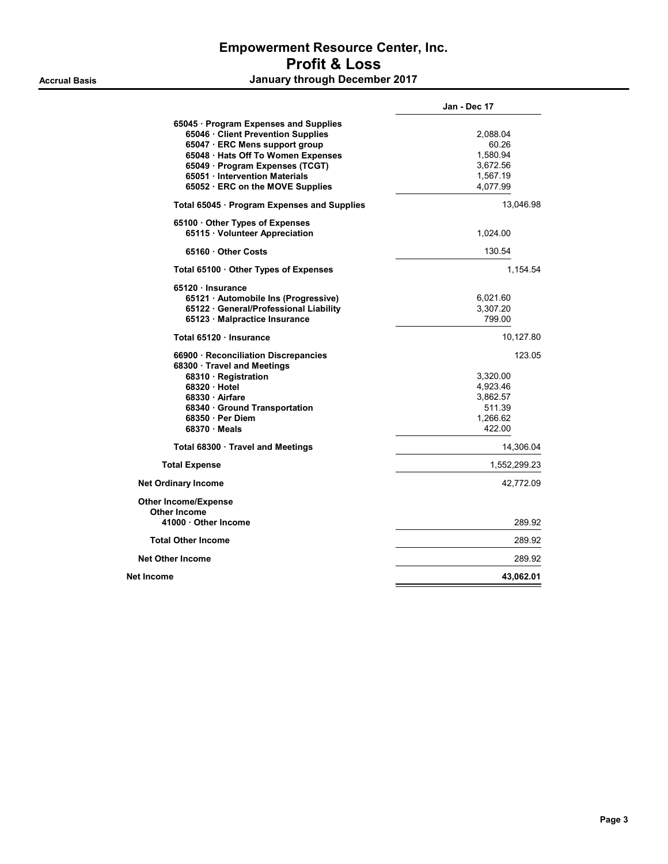# Empowerment Resource Center, Inc. Profit & Loss

Accrual Basis **Accrual Basis January through December 2017** 

|                                                                                                               | Jan - Dec 17         |
|---------------------------------------------------------------------------------------------------------------|----------------------|
| 65045 · Program Expenses and Supplies<br>65046 · Client Prevention Supplies<br>65047 · ERC Mens support group | 2,088.04<br>60.26    |
| 65048 · Hats Off To Women Expenses                                                                            | 1,580.94             |
| 65049 · Program Expenses (TCGT)                                                                               | 3,672.56             |
| 65051 Intervention Materials                                                                                  | 1,567.19<br>4,077.99 |
| 65052 ERC on the MOVE Supplies                                                                                |                      |
| Total 65045 · Program Expenses and Supplies                                                                   | 13,046.98            |
| 65100 Other Types of Expenses<br>65115 Volunteer Appreciation                                                 | 1,024.00             |
| 65160 Other Costs                                                                                             | 130.54               |
| Total 65100 · Other Types of Expenses                                                                         | 1,154.54             |
| 65120 Insurance                                                                                               |                      |
| 65121 · Automobile Ins (Progressive)                                                                          | 6,021.60             |
| 65122 General/Professional Liability                                                                          | 3,307.20             |
| 65123 · Malpractice Insurance                                                                                 | 799.00               |
| Total 65120 · Insurance                                                                                       | 10,127.80            |
| 66900 · Reconciliation Discrepancies<br>68300 · Travel and Meetings                                           | 123.05               |
| 68310 · Registration                                                                                          | 3,320.00             |
| 68320 Hotel                                                                                                   | 4,923.46             |
| 68330 Airfare                                                                                                 | 3,862.57             |
| 68340 Ground Transportation                                                                                   | 511.39               |
| 68350 Per Diem                                                                                                | 1,266.62             |
| 68370 Meals                                                                                                   | 422.00               |
| Total 68300 · Travel and Meetings                                                                             | 14,306.04            |
| <b>Total Expense</b>                                                                                          | 1,552,299.23         |
| <b>Net Ordinary Income</b>                                                                                    | 42,772.09            |
| <b>Other Income/Expense</b><br>Other Income                                                                   |                      |
| 41000 Other Income                                                                                            | 289.92               |
| <b>Total Other Income</b>                                                                                     | 289.92               |
| <b>Net Other Income</b>                                                                                       | 289.92               |
| Net Income                                                                                                    | 43,062.01            |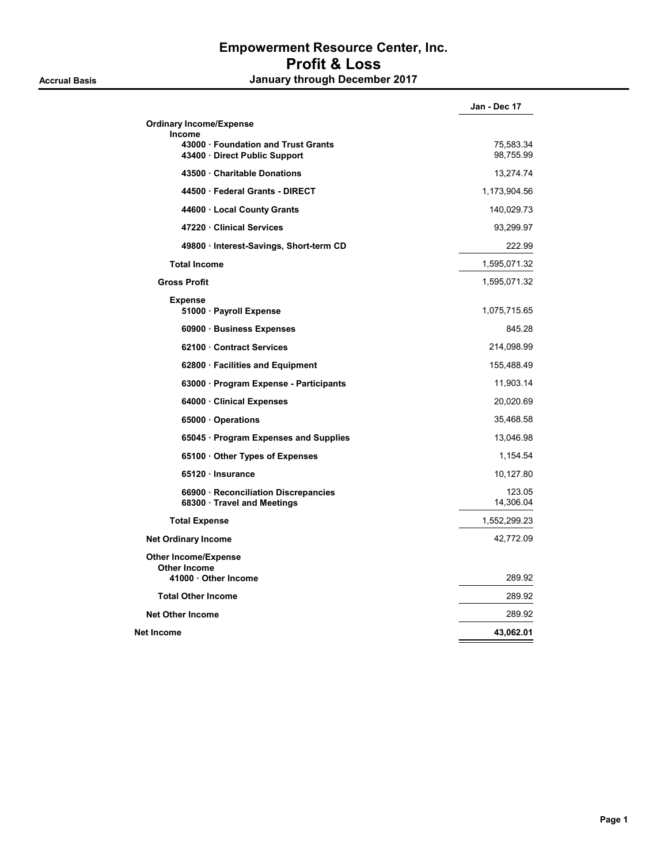## Empowerment Resource Center, Inc. Profit & Loss Accrual Basis **Accrual Basis January through December 2017**

|                                                                                     | Jan - Dec 17           |
|-------------------------------------------------------------------------------------|------------------------|
| <b>Ordinary Income/Expense</b>                                                      |                        |
| <b>Income</b><br>43000 · Foundation and Trust Grants<br>43400 Direct Public Support | 75,583.34<br>98,755.99 |
| 43500 Charitable Donations                                                          | 13,274.74              |
| 44500 Federal Grants - DIRECT                                                       | 1,173,904.56           |
| 44600 · Local County Grants                                                         | 140,029.73             |
| 47220 Clinical Services                                                             | 93,299.97              |
| 49800 · Interest-Savings, Short-term CD                                             | 222.99                 |
| <b>Total Income</b>                                                                 | 1,595,071.32           |
| <b>Gross Profit</b>                                                                 | 1,595,071.32           |
| <b>Expense</b>                                                                      |                        |
| 51000 · Payroll Expense                                                             | 1,075,715.65           |
| 60900 · Business Expenses                                                           | 845.28                 |
| 62100 Contract Services                                                             | 214,098.99             |
| 62800 · Facilities and Equipment                                                    | 155,488.49             |
| 63000 · Program Expense - Participants                                              | 11,903.14              |
| 64000 Clinical Expenses                                                             | 20,020.69              |
| 65000 Operations                                                                    | 35,468.58              |
| 65045 · Program Expenses and Supplies                                               | 13,046.98              |
| 65100 Other Types of Expenses                                                       | 1,154.54               |
| 65120 · Insurance                                                                   | 10,127.80              |
| 66900 · Reconciliation Discrepancies<br>68300 Travel and Meetings                   | 123.05<br>14,306.04    |
| <b>Total Expense</b>                                                                | 1,552,299.23           |
| <b>Net Ordinary Income</b>                                                          | 42,772.09              |
| <b>Other Income/Expense</b><br><b>Other Income</b><br>41000 Other Income            | 289.92                 |
| <b>Total Other Income</b>                                                           | 289.92                 |
|                                                                                     |                        |
| <b>Net Other Income</b>                                                             | 289.92                 |
| Net Income                                                                          | 43,062.01              |